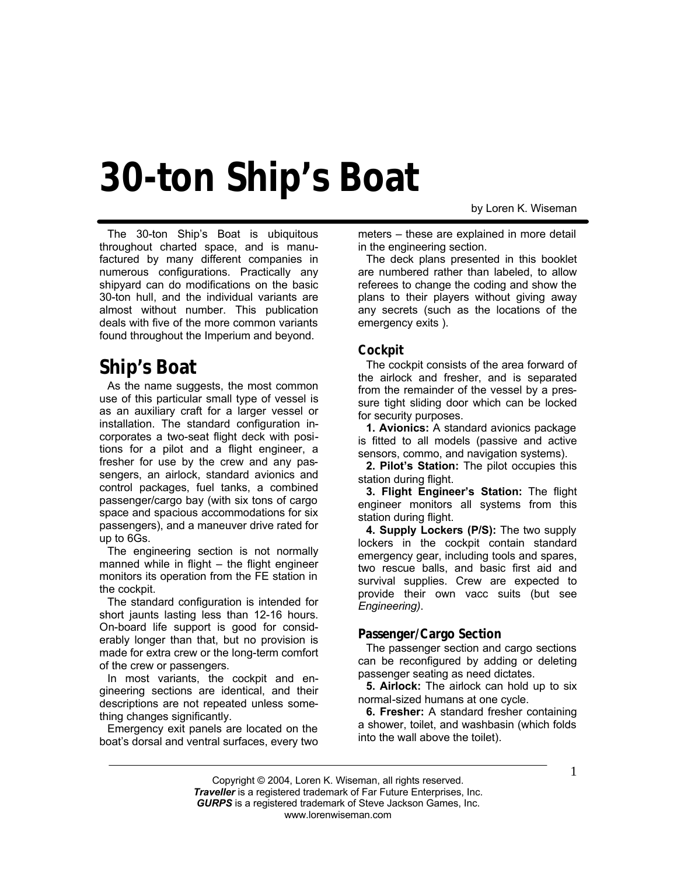# **30-ton Ship's Boat**

by Loren K. Wiseman

The 30-ton Ship's Boat is ubiquitous throughout charted space, and is manufactured by many different companies in numerous configurations. Practically any shipyard can do modifications on the basic 30-ton hull, and the individual variants are almost without number. This publication deals with five of the more common variants found throughout the Imperium and beyond.

## **Ship's Boat**

As the name suggests, the most common use of this particular small type of vessel is as an auxiliary craft for a larger vessel or installation. The standard configuration incorporates a two-seat flight deck with positions for a pilot and a flight engineer, a fresher for use by the crew and any passengers, an airlock, standard avionics and control packages, fuel tanks, a combined passenger/cargo bay (with six tons of cargo space and spacious accommodations for six passengers), and a maneuver drive rated for up to 6Gs.

The engineering section is not normally manned while in flight – the flight engineer monitors its operation from the FE station in the cockpit.

The standard configuration is intended for short jaunts lasting less than 12-16 hours. On-board life support is good for considerably longer than that, but no provision is made for extra crew or the long-term comfort of the crew or passengers.

In most variants, the cockpit and engineering sections are identical, and their descriptions are not repeated unless something changes significantly.

Emergency exit panels are located on the boat's dorsal and ventral surfaces, every two meters – these are explained in more detail in the engineering section.

The deck plans presented in this booklet are numbered rather than labeled, to allow referees to change the coding and show the plans to their players without giving away any secrets (such as the locations of the emergency exits ).

#### **Cockpit**

The cockpit consists of the area forward of the airlock and fresher, and is separated from the remainder of the vessel by a pressure tight sliding door which can be locked for security purposes.

**1. Avionics:** A standard avionics package is fitted to all models (passive and active sensors, commo, and navigation systems).

**2. Pilot's Station:** The pilot occupies this station during flight.

**3. Flight Engineer's Station:** The flight engineer monitors all systems from this station during flight.

**4. Supply Lockers (P/S):** The two supply lockers in the cockpit contain standard emergency gear, including tools and spares, two rescue balls, and basic first aid and survival supplies. Crew are expected to provide their own vacc suits (but see *Engineering)*.

#### **Passenger/Cargo Section**

The passenger section and cargo sections can be reconfigured by adding or deleting passenger seating as need dictates.

**5. Airlock:** The airlock can hold up to six normal-sized humans at one cycle.

**6. Fresher:** A standard fresher containing a shower, toilet, and washbasin (which folds into the wall above the toilet).

Copyright © 2004, Loren K. Wiseman, all rights reserved. *Traveller* is a registered trademark of Far Future Enterprises, Inc. *GURPS* is a registered trademark of Steve Jackson Games, Inc. www.lorenwiseman.com